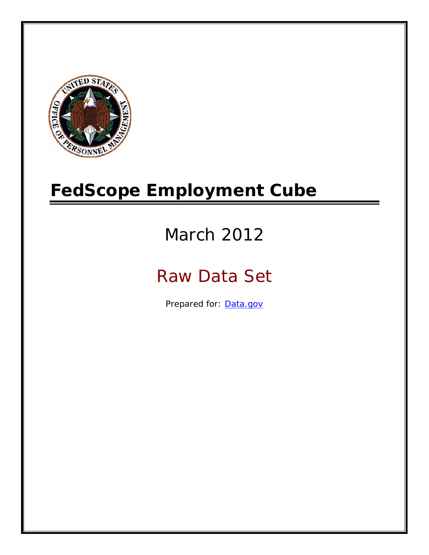

# **FedScope Employment Cube**

# March 2012

# Raw Data Set

Prepared for: [Data.gov](http://www.data.gov/)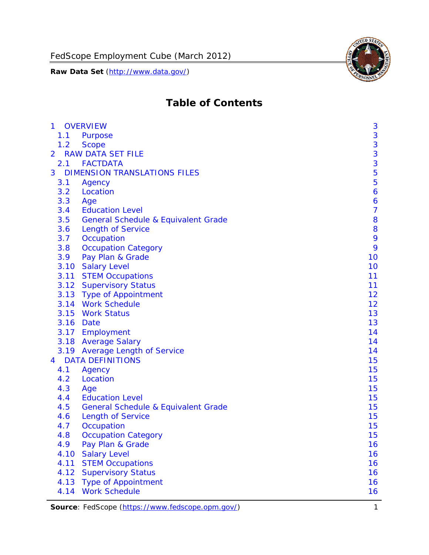

# **Table of Contents**

| $\mathbf{1}$   |      | <b>OVERVIEW</b>                                | 3              |
|----------------|------|------------------------------------------------|----------------|
|                | 1.1  | Purpose                                        | 3              |
|                | 1.2  | <b>Scope</b>                                   | 3              |
| $\overline{2}$ |      | <b>RAW DATA SET FILE</b>                       | 3              |
|                | 2.1  | <b>FACTDATA</b>                                | 3              |
| 3              |      | <b>DIMENSION TRANSLATIONS FILES</b>            | 5              |
|                | 3.1  | Agency                                         | 5              |
|                | 3.2  | Location                                       | 6              |
|                | 3.3  | Age                                            | 6              |
|                | 3.4  | <b>Education Level</b>                         | $\overline{7}$ |
|                | 3.5  | <b>General Schedule &amp; Equivalent Grade</b> | 8              |
|                | 3.6  | <b>Length of Service</b>                       | 8              |
|                | 3.7  | Occupation                                     | 9              |
|                | 3.8  | <b>Occupation Category</b>                     | 9              |
|                | 3.9  | Pay Plan & Grade                               | 10             |
|                | 3.10 | <b>Salary Level</b>                            | 10             |
|                | 3.11 | <b>STEM Occupations</b>                        | 11             |
|                |      | 3.12 Supervisory Status                        | 11             |
|                |      | 3.13 Type of Appointment                       | 12             |
|                |      | 3.14 Work Schedule                             | 12             |
|                | 3.15 | <b>Work Status</b>                             | 13             |
|                |      | 3.16 Date                                      | 13             |
|                |      | 3.17 Employment                                | 14             |
|                |      | 3.18 Average Salary                            | 14             |
|                | 3.19 | <b>Average Length of Service</b>               | 14             |
| $\overline{4}$ |      | <b>DATA DEFINITIONS</b>                        | 15             |
|                | 4.1  | Agency                                         | 15             |
|                | 4.2  | Location                                       | 15             |
|                | 4.3  | Age                                            | 15             |
|                | 4.4  | <b>Education Level</b>                         | 15             |
|                | 4.5  | <b>General Schedule &amp; Equivalent Grade</b> | 15             |
|                | 4.6  | <b>Length of Service</b>                       | 15             |
|                | 4.7  | Occupation                                     | 15             |
|                | 4.8  | <b>Occupation Category</b>                     | 15             |
|                | 4.9  | Pay Plan & Grade                               | 16             |
|                | 4.10 | <b>Salary Level</b>                            | 16             |
|                | 4.11 | <b>STEM Occupations</b>                        | 16             |
|                | 4.12 | <b>Supervisory Status</b>                      | 16             |
|                | 4.13 | <b>Type of Appointment</b>                     | 16             |
|                | 4.14 | <b>Work Schedule</b>                           | 16             |

**Source**: FedScope (https://www.fedscope.opm.gov/) 1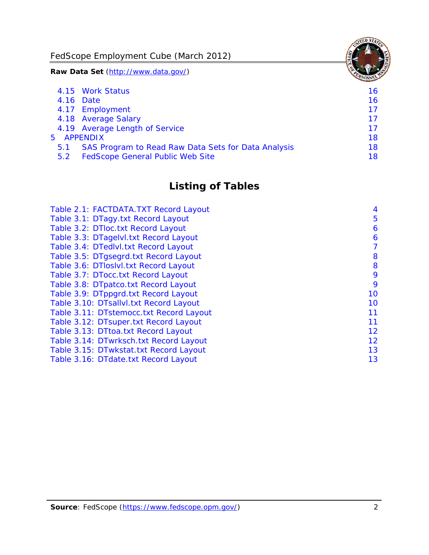FedScope Employment Cube (March 2012)

**Raw Data Set** (http://www.data.gov/)

|               | 4.15 Work Status                                    | 16 |
|---------------|-----------------------------------------------------|----|
|               | 4.16 Date                                           | 16 |
|               | 4.17 Employment                                     | 17 |
|               | 4.18 Average Salary                                 | 17 |
|               | 4.19 Average Length of Service                      | 17 |
|               | 5 APPENDIX                                          | 18 |
| 5.1           | SAS Program to Read Raw Data Sets for Data Analysis | 18 |
| $5.2^{\circ}$ | <b>FedScope General Public Web Site</b>             | 18 |

# **Listing of Tables**

| Table 2.1: FACTDATA.TXT Record Layout   | 4  |
|-----------------------------------------|----|
| Table 3.1: DTagy.txt Record Layout      | 5  |
| Table 3.2: DTloc.txt Record Layout      | 6  |
| Table 3.3: DTagelvl.txt Record Layout   | 6  |
| Table 3.4: DTedlvl.txt Record Layout    | 7  |
| Table 3.5: DTgsegrd.txt Record Layout   | 8  |
| Table 3.6: DTIoslyl.txt Record Layout   | 8  |
| Table 3.7: DTocc.txt Record Layout      | 9  |
| Table 3.8: DTpatco.txt Record Layout    | 9  |
| Table 3.9: DTppgrd.txt Record Layout    | 10 |
| Table 3.10: DTsallvl.txt Record Layout  | 10 |
| Table 3.11: DTstemocc.txt Record Layout | 11 |
| Table 3.12: DTsuper.txt Record Layout   | 11 |
| Table 3.13: DTtoa.txt Record Layout     | 12 |
| Table 3.14: DTwrksch.txt Record Layout  | 12 |
| Table 3.15: DTwkstat.txt Record Layout  | 13 |
| Table 3.16: DTdate.txt Record Layout    | 13 |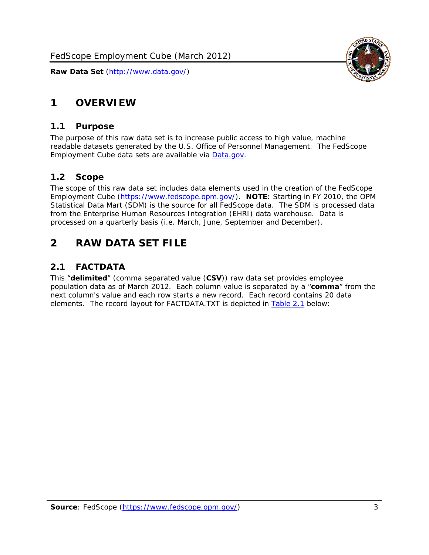

# <span id="page-3-0"></span>**1 OVERVIEW**

#### *1.1 Purpose*

<span id="page-3-1"></span>The purpose of this raw data set is to increase public access to high value, machine readable datasets generated by the U.S. Office of Personnel Management. The FedScope Employment Cube data sets are available via [Data.gov](http://www.data.gov/).

#### <span id="page-3-2"></span>*1.2 Scope*

The scope of this raw data set includes data elements used in the creation of the FedScope Employment Cube [\(https://www.fedscope.opm.gov/\)](https://www.fedscope.opm.gov/). **NOTE**: Starting in FY 2010, the OPM Statistical Data Mart (SDM) is the source for all FedScope data. The SDM is processed data from the Enterprise Human Resources Integration (EHRI) data warehouse. Data is processed on a quarterly basis (i.e. March, June, September and December).

# <span id="page-3-3"></span>**2 RAW DATA SET FILE**

# <span id="page-3-4"></span>*2.1 FACTDATA*

This "**delimited**" (comma separated value (**CSV**)) raw data set provides employee population data as of March 2012. Each column value is separated by a "**comma**" from the next column's value and each row starts a new record. Each record contains 20 data elements. The record layout for FACTDATA.TXT is depicted in [Table 2.1](#page-4-1) below: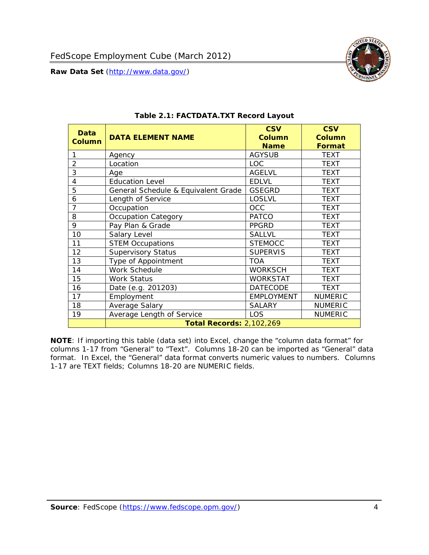

<span id="page-4-1"></span><span id="page-4-0"></span>

| Data<br><b>Column</b> | <b>DATA ELEMENT NAME</b>            | <b>CSV</b><br>Column<br><b>Name</b> | <b>CSV</b><br><b>Column</b><br><b>Format</b> |
|-----------------------|-------------------------------------|-------------------------------------|----------------------------------------------|
|                       | Agency                              | <b>AGYSUB</b>                       | <b>TEXT</b>                                  |
| $\overline{2}$        | Location                            | LOC.                                | <b>TEXT</b>                                  |
| 3                     | Age                                 | <b>AGELVL</b>                       | <b>TEXT</b>                                  |
| 4                     | <b>Education Level</b>              | <b>EDLVL</b>                        | <b>TEXT</b>                                  |
| 5                     | General Schedule & Equivalent Grade | <b>GSEGRD</b>                       | <b>TEXT</b>                                  |
| 6                     | Length of Service                   | <b>LOSLVL</b>                       | <b>TEXT</b>                                  |
| $\overline{7}$        | Occupation                          | OCC                                 | <b>TEXT</b>                                  |
| 8                     | <b>Occupation Category</b>          | <b>PATCO</b>                        | <b>TEXT</b>                                  |
| 9                     | Pay Plan & Grade                    | <b>PPGRD</b>                        | <b>TEXT</b>                                  |
| 10                    | Salary Level                        | <b>SALLVL</b>                       | <b>TEXT</b>                                  |
| 11                    | <b>STEM Occupations</b>             | <b>STEMOCC</b>                      | <b>TEXT</b>                                  |
| 12                    | <b>Supervisory Status</b>           | <b>SUPERVIS</b>                     | <b>TEXT</b>                                  |
| 13                    | Type of Appointment                 | <b>TOA</b>                          | <b>TEXT</b>                                  |
| 14                    | Work Schedule                       | <b>WORKSCH</b>                      | <b>TEXT</b>                                  |
| 15                    | Work Status                         | <b>WORKSTAT</b>                     | <b>TEXT</b>                                  |
| 16                    | Date (e.g. 201203)                  | <b>DATECODE</b>                     | <b>TEXT</b>                                  |
| 17                    | Employment                          | <b>EMPLOYMENT</b>                   | <b>NUMERIC</b>                               |
| 18                    | Average Salary                      | <b>SALARY</b>                       | <b>NUMERIC</b>                               |
| 19                    | Average Length of Service           | <b>LOS</b>                          | <b>NUMERIC</b>                               |
|                       | <b>Total Records: 2,102,269</b>     |                                     |                                              |

#### **Table 2.1: FACTDATA.TXT Record Layout**

**NOTE**: If importing this table (data set) into Excel, change the "column data format" for columns 1-17 from "General" to "Text". Columns 18-20 can be imported as "General" data format. In Excel, the "General" data format converts numeric values to numbers. Columns 1-17 are TEXT fields; Columns 18-20 are NUMERIC fields.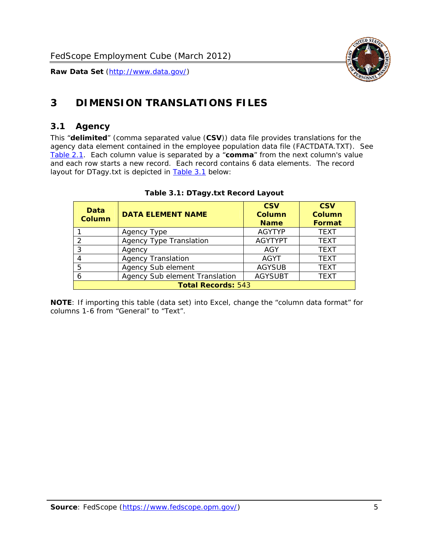

# <span id="page-5-0"></span>**3 DIMENSION TRANSLATIONS FILES**

#### <span id="page-5-1"></span>*3.1 Agency*

<span id="page-5-3"></span><span id="page-5-2"></span>This "**delimited**" (comma separated value (**CSV**)) data file provides translations for the agency data element contained in the employee population data file (FACTDATA.TXT). See [Table 2.1.](#page-4-1) Each column value is separated by a "**comma**" from the next column's value and each row starts a new record. Each record contains 6 data elements. The record layout for DTagy.txt is depicted in **Table 3.1** below:

| Data<br>Column            | <b>DATA ELEMENT NAME</b>       | <b>CSV</b><br><b>Column</b><br><b>Name</b> | <b>CSV</b><br><b>Column</b><br><b>Format</b> |
|---------------------------|--------------------------------|--------------------------------------------|----------------------------------------------|
|                           | Agency Type                    | <b>AGYTYP</b>                              | <b>TEXT</b>                                  |
| 2                         | <b>Agency Type Translation</b> | <b>AGYTYPT</b>                             | <b>TEXT</b>                                  |
| 3                         | Agency                         | AGY                                        | <b>TEXT</b>                                  |
| 4                         | <b>Agency Translation</b>      | <b>AGYT</b>                                | <b>TEXT</b>                                  |
| 5                         | Agency Sub element             | <b>AGYSUB</b>                              | <b>TEXT</b>                                  |
| 6                         | Agency Sub element Translation | <b>AGYSUBT</b>                             | <b>TEXT</b>                                  |
| <b>Total Records: 543</b> |                                |                                            |                                              |

#### **Table 3.1: DTagy.txt Record Layout**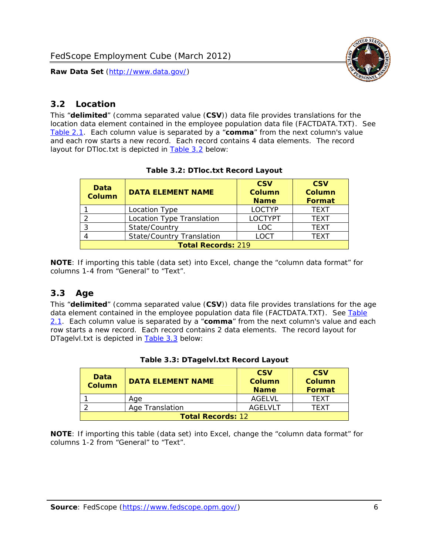

## <span id="page-6-0"></span>*3.2 Location*

<span id="page-6-4"></span><span id="page-6-2"></span>This "**delimited**" (comma separated value (**CSV**)) data file provides translations for the location data element contained in the employee population data file (FACTDATA.TXT). See [Table 2.1.](#page-4-1) Each column value is separated by a "**comma**" from the next column's value and each row starts a new record. Each record contains 4 data elements. The record layout for DTloc.txt is depicted in [Table 3.2](#page-6-4) below:

| Data<br><b>Column</b>     | <b>DATA ELEMENT NAME</b>         | <b>CSV</b><br>Column<br><b>Name</b> | <b>CSV</b><br><b>Column</b><br><b>Format</b> |
|---------------------------|----------------------------------|-------------------------------------|----------------------------------------------|
|                           | Location Type                    | <b>LOCTYP</b>                       | <b>TEXT</b>                                  |
|                           | Location Type Translation        | <b>LOCTYPT</b>                      | <b>TFXT</b>                                  |
| ົ                         | State/Country                    | LOC.                                | <b>TEXT</b>                                  |
|                           | <b>State/Country Translation</b> | LOCT                                | <b>TFXT</b>                                  |
| <b>Total Records: 219</b> |                                  |                                     |                                              |

#### **Table 3.2: DTloc.txt Record Layout**

**NOTE**: If importing this table (data set) into Excel, change the "column data format" for columns 1-4 from "General" to "Text".

#### <span id="page-6-1"></span>*3.3 Age*

<span id="page-6-5"></span><span id="page-6-3"></span>This "**delimited**" (comma separated value (**CSV**)) data file provides translations for the age data element contained in the employee population data file (FACTDATA.TXT). See [Table](#page-4-1) [2.1](#page-4-1). Each column value is separated by a "**comma**" from the next column's value and each row starts a new record. Each record contains 2 data elements. The record layout for DTagelvl.txt is depicted in **[Table 3.3](#page-6-5)** below:

| Data<br><b>Column</b>    | <b>DATA ELEMENT NAME</b> | <b>CSV</b><br>Column<br><b>Name</b> | <b>CSV</b><br>Column<br><b>Format</b> |
|--------------------------|--------------------------|-------------------------------------|---------------------------------------|
|                          | Aae                      | AGFI VI                             | TFXT                                  |
|                          | Age Translation          | AGFI VI T                           | TFXT                                  |
| <b>Total Records: 12</b> |                          |                                     |                                       |

#### **Table 3.3: DTagelvl.txt Record Layout**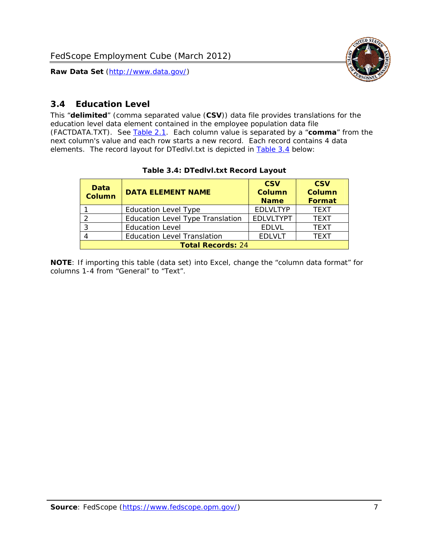

## <span id="page-7-0"></span>*3.4 Education Level*

<span id="page-7-2"></span><span id="page-7-1"></span>This "**delimited**" (comma separated value (**CSV**)) data file provides translations for the education level data element contained in the employee population data file (FACTDATA.TXT). See [Table 2.1](#page-4-1). Each column value is separated by a "**comma**" from the next column's value and each row starts a new record. Each record contains 4 data elements. The record layout for DTedlvl.txt is depicted in [Table 3.4](#page-7-2) below:

| Data<br><b>Column</b>    | <b>DATA ELEMENT NAME</b>                | <b>CSV</b><br><b>Column</b><br><b>Name</b> | <b>CSV</b><br><b>Column</b><br><b>Format</b> |
|--------------------------|-----------------------------------------|--------------------------------------------|----------------------------------------------|
|                          | <b>Education Level Type</b>             | <b>EDLVLTYP</b>                            | <b>TEXT</b>                                  |
|                          | <b>Education Level Type Translation</b> | <b>EDLVLTYPT</b>                           | <b>TEXT</b>                                  |
|                          | <b>Education Level</b>                  | <b>EDLVL</b>                               | <b>TEXT</b>                                  |
|                          | <b>Education Level Translation</b>      | <b>EDLVLT</b>                              | <b>TEXT</b>                                  |
| <b>Total Records: 24</b> |                                         |                                            |                                              |

#### **Table 3.4: DTedlvl.txt Record Layout**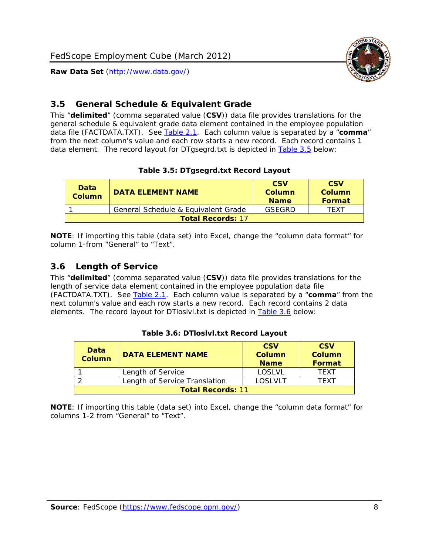

## <span id="page-8-0"></span>*3.5 General Schedule & Equivalent Grade*

This "**delimited**" (comma separated value (**CSV**)) data file provides translations for the general schedule & equivalent grade data element contained in the employee population data file (FACTDATA.TXT). See [Table 2.1](#page-4-1). Each column value is separated by a "**comma**" from the next column's value and each row starts a new record. Each record contains 1 data element. The record layout for DTgsegrd.txt is depicted in [Table 3.5](#page-8-4) below:

#### **Table 3.5: DTgsegrd.txt Record Layout**

<span id="page-8-4"></span><span id="page-8-2"></span>

| Data<br><b>Column</b>    | DATA FI FMFNT NAMF                  | <b>CSV</b><br>Column<br><b>Name</b> | <b>CSV</b><br>Column<br>Format |
|--------------------------|-------------------------------------|-------------------------------------|--------------------------------|
|                          | General Schedule & Equivalent Grade | GSEGRD                              | TFXT                           |
| <b>Total Records: 17</b> |                                     |                                     |                                |

**NOTE**: If importing this table (data set) into Excel, change the "column data format" for column 1-from "General" to "Text".

#### <span id="page-8-1"></span>*3.6 Length of Service*

<span id="page-8-5"></span>This "**delimited**" (comma separated value (**CSV**)) data file provides translations for the length of service data element contained in the employee population data file (FACTDATA.TXT). See [Table 2.1](#page-4-1). Each column value is separated by a "**comma**" from the next column's value and each row starts a new record. Each record contains 2 data elements. The record layout for DTloslvl.txt is depicted in [Table 3.6](#page-8-5) below:

<span id="page-8-3"></span>

| Data<br><b>Column</b>    | <b>DATA ELEMENT NAME</b>      | <b>CSV</b><br><b>Column</b><br><b>Name</b> | <b>CSV</b><br>Column<br>Format |
|--------------------------|-------------------------------|--------------------------------------------|--------------------------------|
|                          | Length of Service             | LOSLVL                                     | TFXT                           |
|                          | Length of Service Translation | LOSI VLT                                   | TFXT                           |
| <b>Total Records: 11</b> |                               |                                            |                                |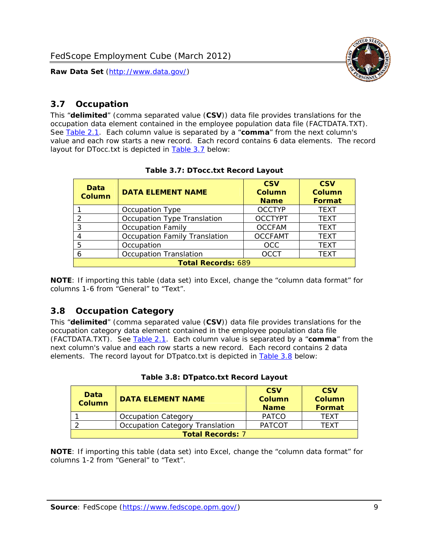

#### <span id="page-9-0"></span>*3.7 Occupation*

<span id="page-9-4"></span>This "**delimited**" (comma separated value (**CSV**)) data file provides translations for the occupation data element contained in the employee population data file (FACTDATA.TXT). See [Table 2.1](#page-4-1). Each column value is separated by a "**comma**" from the next column's value and each row starts a new record. Each record contains 6 data elements. The record layout for DTocc.txt is depicted in [Table 3.7](#page-9-4) below:

<span id="page-9-2"></span>

| Data<br><b>Column</b>     | <b>DATA ELEMENT NAME</b>      | <b>CSV</b><br>Column<br><b>Name</b> | <b>CSV</b><br><b>Column</b><br><b>Format</b> |
|---------------------------|-------------------------------|-------------------------------------|----------------------------------------------|
|                           | Occupation Type               | <b>OCCTYP</b>                       | <b>TEXT</b>                                  |
|                           | Occupation Type Translation   | <b>OCCTYPT</b>                      | <b>TEXT</b>                                  |
| 3                         | <b>Occupation Family</b>      | <b>OCCFAM</b>                       | <b>TEXT</b>                                  |
|                           | Occupation Family Translation | <b>OCCFAMT</b>                      | <b>TEXT</b>                                  |
| 5                         | Occupation                    | <b>OCC</b>                          | <b>TEXT</b>                                  |
|                           | <b>Occupation Translation</b> | <b>OCCT</b>                         | <b>TEXT</b>                                  |
| <b>Total Records: 689</b> |                               |                                     |                                              |

#### **Table 3.7: DTocc.txt Record Layout**

**NOTE**: If importing this table (data set) into Excel, change the "column data format" for columns 1-6 from "General" to "Text".

#### <span id="page-9-1"></span>*3.8 Occupation Category*

<span id="page-9-5"></span>This "**delimited**" (comma separated value (**CSV**)) data file provides translations for the occupation category data element contained in the employee population data file (FACTDATA.TXT). See [Table 2.1](#page-4-1). Each column value is separated by a "**comma**" from the next column's value and each row starts a new record. Each record contains 2 data elements. The record layout for DTpatco.txt is depicted in [Table 3.8](#page-9-5) below:

<span id="page-9-3"></span>

| Data<br><b>Column</b>   | <b>DATA ELEMENT NAME</b>        | <b>CSV</b><br>Column<br><b>Name</b> | <b>CSV</b><br>Column<br>Format |  |
|-------------------------|---------------------------------|-------------------------------------|--------------------------------|--|
|                         | <b>Occupation Category</b>      | <b>PATCO</b>                        | <b>TFXT</b>                    |  |
|                         | Occupation Category Translation | <b>PATCOT</b>                       | TFXT                           |  |
| <b>Total Records: 7</b> |                                 |                                     |                                |  |

|  |  | Table 3.8: DTpatco.txt Record Layout |  |  |
|--|--|--------------------------------------|--|--|
|--|--|--------------------------------------|--|--|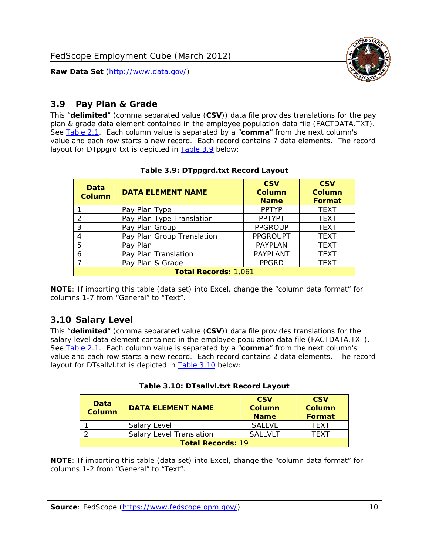

## <span id="page-10-0"></span>*3.9 Pay Plan & Grade*

<span id="page-10-4"></span>This "**delimited**" (comma separated value (**CSV**)) data file provides translations for the pay plan & grade data element contained in the employee population data file (FACTDATA.TXT). See [Table 2.1](#page-4-1). Each column value is separated by a "**comma**" from the next column's value and each row starts a new record. Each record contains 7 data elements. The record layout for DTppgrd.txt is depicted in **Table 3.9** below:

<span id="page-10-2"></span>

| Data<br>Column              | <b>DATA ELEMENT NAME</b>   | <b>CSV</b><br>Column<br><b>Name</b> | <b>CSV</b><br>Column<br><b>Format</b> |  |
|-----------------------------|----------------------------|-------------------------------------|---------------------------------------|--|
|                             | Pay Plan Type              | <b>PPTYP</b>                        | <b>TEXT</b>                           |  |
| $\mathcal{P}$               | Pay Plan Type Translation  | <b>PPTYPT</b>                       | <b>TEXT</b>                           |  |
| 3                           | Pay Plan Group             | <b>PPGROUP</b>                      | <b>TEXT</b>                           |  |
|                             | Pay Plan Group Translation | <b>PPGROUPT</b>                     | <b>TEXT</b>                           |  |
| 5                           | Pay Plan                   | <b>PAYPLAN</b>                      | <b>TEXT</b>                           |  |
| 6                           | Pay Plan Translation       | <b>PAYPLANT</b>                     | <b>TEXT</b>                           |  |
|                             | Pay Plan & Grade           | <b>PPGRD</b>                        | <b>TEXT</b>                           |  |
| <b>Total Records: 1,061</b> |                            |                                     |                                       |  |

#### **Table 3.9: DTppgrd.txt Record Layout**

**NOTE**: If importing this table (data set) into Excel, change the "column data format" for columns 1-7 from "General" to "Text".

# <span id="page-10-1"></span>*3.10 Salary Level*

<span id="page-10-5"></span><span id="page-10-3"></span>This "**delimited**" (comma separated value (**CSV**)) data file provides translations for the salary level data element contained in the employee population data file (FACTDATA.TXT). See [Table 2.1](#page-4-1). Each column value is separated by a "**comma**" from the next column's value and each row starts a new record. Each record contains 2 data elements. The record layout for DTsallvl.txt is depicted in [Table 3.10](#page-10-5) below:

| <b>Data</b><br><b>Column</b> | <b>DATA ELEMENT NAME</b>        | <b>CSV</b><br>Column<br><b>Name</b> | <b>CSV</b><br>Column<br><b>Format</b> |
|------------------------------|---------------------------------|-------------------------------------|---------------------------------------|
|                              | Salary Level                    | <b>SALLVL</b>                       | TFXT                                  |
|                              | <b>Salary Level Translation</b> | SAI I VI T                          | TEXT                                  |
| <b>Total Records: 19</b>     |                                 |                                     |                                       |

| Table 3.10: DTsallvl.txt Record Layout |
|----------------------------------------|
|----------------------------------------|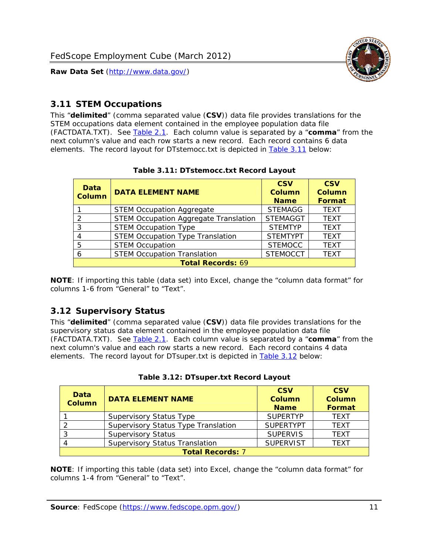

#### <span id="page-11-0"></span>*3.11 STEM Occupations*

<span id="page-11-4"></span>This "**delimited**" (comma separated value (**CSV**)) data file provides translations for the STEM occupations data element contained in the employee population data file (FACTDATA.TXT). See [Table 2.1](#page-4-1). Each column value is separated by a "**comma**" from the next column's value and each row starts a new record. Each record contains 6 data elements. The record layout for DTstemocc.txt is depicted in [Table 3.11](#page-11-4) below:

<span id="page-11-2"></span>

| <b>Data</b><br><b>Column</b> | <b>DATA ELEMENT NAME</b>                     | <b>CSV</b><br><b>Column</b><br><b>Name</b> | <b>CSV</b><br><b>Column</b><br>Format |
|------------------------------|----------------------------------------------|--------------------------------------------|---------------------------------------|
|                              | <b>STEM Occupation Aggregate</b>             | <b>STEMAGG</b>                             | <b>TEXT</b>                           |
|                              | <b>STEM Occupation Aggregate Translation</b> | <b>STEMAGGT</b>                            | <b>TEXT</b>                           |
| 3                            | <b>STEM Occupation Type</b>                  | <b>STEMTYP</b>                             | <b>TFXT</b>                           |
|                              | <b>STEM Occupation Type Translation</b>      | <b>STEMTYPT</b>                            | <b>TEXT</b>                           |
| 5                            | <b>STEM Occupation</b>                       | <b>STEMOCC</b>                             | <b>TEXT</b>                           |
|                              | <b>STEM Occupation Translation</b>           | <b>STEMOCCT</b>                            | <b>TEXT</b>                           |
| <b>Total Records: 69</b>     |                                              |                                            |                                       |

#### **Table 3.11: DTstemocc.txt Record Layout**

**NOTE**: If importing this table (data set) into Excel, change the "column data format" for columns 1-6 from "General" to "Text".

# <span id="page-11-1"></span>*3.12 Supervisory Status*

This "**delimited**" (comma separated value (**CSV**)) data file provides translations for the supervisory status data element contained in the employee population data file (FACTDATA.TXT). See [Table 2.1](#page-4-1). Each column value is separated by a "**comma**" from the next column's value and each row starts a new record. Each record contains 4 data elements. The record layout for DTsuper.txt is depicted in [Table 3.12](#page-11-5) below:

<span id="page-11-5"></span><span id="page-11-3"></span>

| Data<br><b>Column</b>   | <b>DATA ELEMENT NAME</b>              | <b>CSV</b><br>Column<br><b>Name</b> | <b>CSV</b><br><b>Column</b><br>Format |  |
|-------------------------|---------------------------------------|-------------------------------------|---------------------------------------|--|
|                         | <b>Supervisory Status Type</b>        | <b>SUPFRTYP</b>                     | <b>TEXT</b>                           |  |
|                         | Supervisory Status Type Translation   | <b>SUPERTYPT</b>                    | <b>TEXT</b>                           |  |
|                         | <b>Supervisory Status</b>             | <b>SUPERVIS</b>                     | <b>TEXT</b>                           |  |
|                         | <b>Supervisory Status Translation</b> | <b>SUPERVIST</b>                    | <b>TEXT</b>                           |  |
| <b>Total Records: 7</b> |                                       |                                     |                                       |  |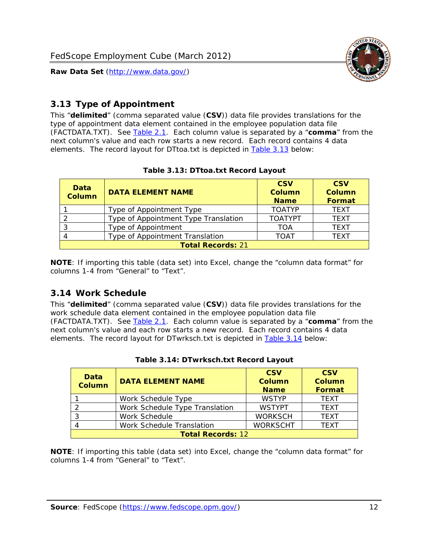

# <span id="page-12-0"></span>*3.13 Type of Appointment*

This "**delimited**" (comma separated value (**CSV**)) data file provides translations for the type of appointment data element contained in the employee population data file (FACTDATA.TXT). See [Table 2.1](#page-4-1). Each column value is separated by a "**comma**" from the next column's value and each row starts a new record. Each record contains 4 data elements. The record layout for DTtoa.txt is depicted in [Table 3.13](#page-12-4) below:

<span id="page-12-4"></span><span id="page-12-2"></span>

| Data<br><b>Column</b>    | <b>DATA ELEMENT NAME</b>             | <b>CSV</b><br><b>Column</b><br><b>Name</b> | <b>CSV</b><br><b>Column</b><br>Format |  |
|--------------------------|--------------------------------------|--------------------------------------------|---------------------------------------|--|
|                          | Type of Appointment Type             | <b>TOATYP</b>                              | <b>TEXT</b>                           |  |
|                          | Type of Appointment Type Translation | <b>TOATYPT</b>                             | <b>TEXT</b>                           |  |
|                          | Type of Appointment                  | TOA                                        | <b>TEXT</b>                           |  |
|                          | Type of Appointment Translation      | <b>TOAT</b>                                | <b>TEXT</b>                           |  |
| <b>Total Records: 21</b> |                                      |                                            |                                       |  |

#### **Table 3.13: DTtoa.txt Record Layout**

**NOTE**: If importing this table (data set) into Excel, change the "column data format" for columns 1-4 from "General" to "Text".

#### <span id="page-12-1"></span>*3.14 Work Schedule*

<span id="page-12-5"></span>This "**delimited**" (comma separated value (**CSV**)) data file provides translations for the work schedule data element contained in the employee population data file (FACTDATA.TXT). See [Table 2.1](#page-4-1). Each column value is separated by a "**comma**" from the next column's value and each row starts a new record. Each record contains 4 data elements. The record layout for DTwrksch.txt is depicted in [Table 3.14](#page-12-5) below:

<span id="page-12-3"></span>

| Data<br>Column           | <b>DATA ELEMENT NAME</b>       | <b>CSV</b><br><b>Column</b><br><b>Name</b> | <b>CSV</b><br>Column<br><b>Format</b> |  |
|--------------------------|--------------------------------|--------------------------------------------|---------------------------------------|--|
|                          | Work Schedule Type             | <b>WSTYP</b>                               | <b>TEXT</b>                           |  |
| 2                        | Work Schedule Type Translation | <b>WSTYPT</b>                              | <b>TFXT</b>                           |  |
| 3                        | Work Schedule                  | <b>WORKSCH</b>                             | <b>TFXT</b>                           |  |
|                          | Work Schedule Translation      | <b>WORKSCHT</b>                            | <b>TFXT</b>                           |  |
| <b>Total Records: 12</b> |                                |                                            |                                       |  |

| Table 3.14: DTwrksch.txt Record Layout |
|----------------------------------------|
|----------------------------------------|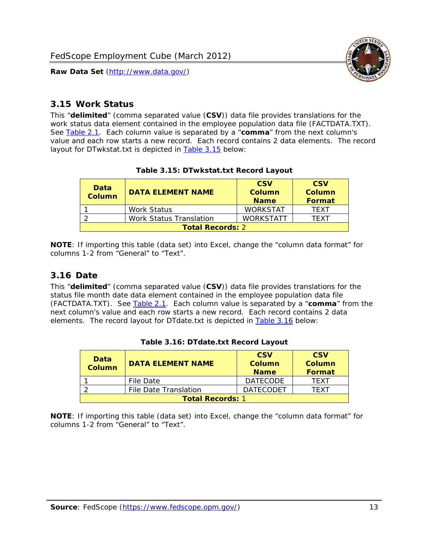

#### <span id="page-13-0"></span>*3.15 Work Status*

<span id="page-13-4"></span><span id="page-13-2"></span>This "**delimited**" (comma separated value (**CSV**)) data file provides translations for the work status data element contained in the employee population data file (FACTDATA.TXT). See [Table 2.1](#page-4-1). Each column value is separated by a "**comma**" from the next column's value and each row starts a new record. Each record contains 2 data elements. The record layout for DTwkstat.txt is depicted in [Table 3.15](#page-13-4) below:

| Data<br><b>Column</b>   | <b>DATA ELEMENT NAME</b> | <b>CSV</b><br>Column<br><b>Name</b> | <b>CSV</b><br>Column<br><b>Format</b> |
|-------------------------|--------------------------|-------------------------------------|---------------------------------------|
|                         | <b>Work Status</b>       | <b>WORKSTAT</b>                     | TFXT                                  |
|                         | Work Status Translation  | <b>WORKSTATT</b>                    | TFXT                                  |
| <b>Total Records: 2</b> |                          |                                     |                                       |

#### **Table 3.15: DTwkstat.txt Record Layout**

**NOTE**: If importing this table (data set) into Excel, change the "column data format" for columns 1-2 from "General" to "Text".

#### <span id="page-13-1"></span>*3.16 Date*

<span id="page-13-5"></span><span id="page-13-3"></span>This "**delimited**" (comma separated value (**CSV**)) data file provides translations for the status file month date data element contained in the employee population data file (FACTDATA.TXT). See [Table 2.1](#page-4-1). Each column value is separated by a "**comma**" from the next column's value and each row starts a new record. Each record contains 2 data elements. The record layout for DTdate.txt is depicted in [Table 3.16](#page-13-5) below:

| Data<br><b>Column</b>   | <b>DATA ELEMENT NAME</b> | <b>CSV</b><br>Column<br><b>Name</b> | <b>CSV</b><br>Column<br><b>Format</b> |
|-------------------------|--------------------------|-------------------------------------|---------------------------------------|
|                         | File Date                | <b>DATECODE</b>                     | TFXT                                  |
|                         | File Date Translation    | <b>DATECODET</b>                    | TFXT                                  |
| <b>Total Records: 1</b> |                          |                                     |                                       |

**Table 3.16: DTdate.txt Record Layout**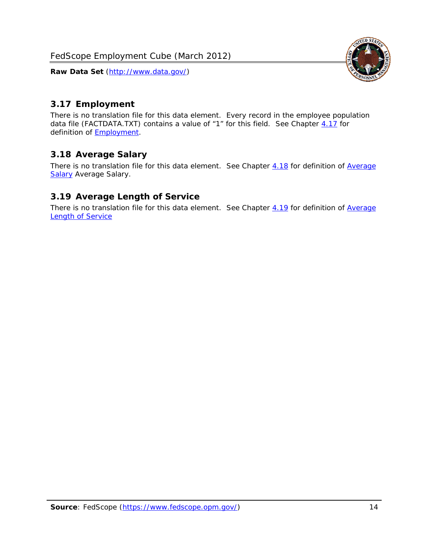<span id="page-14-0"></span>

There is no translation file for this data element. Every record in the employee population data file (FACTDATA.TXT) contains a value of "1" for this field. See Chapter [4.17](#page-16-8) for definition of **Employment**.

## <span id="page-14-1"></span>*3.18 Average Salary*

There is no translation file for this data element. See Chapter [4.18](#page-17-1) for definition of [Average](#page-17-1) [Salary](#page-17-1) [Average Salary.](#page-17-1)

#### <span id="page-14-2"></span>*3.19 Average Length of Service*

There is no translation file for this data element. See Chapter [4.19](#page-17-2) for definition of [Average](#page-17-2) Length of Service

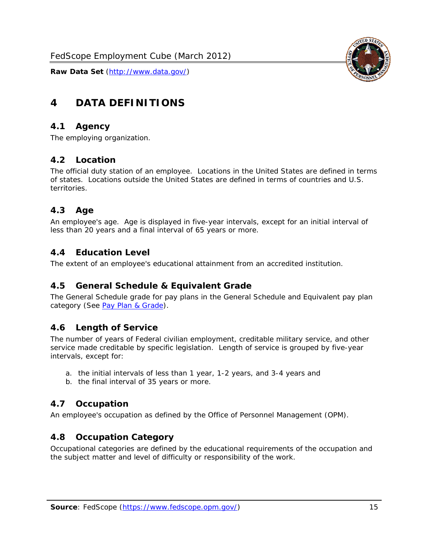

# <span id="page-15-0"></span>**4 DATA DEFINITIONS**

#### <span id="page-15-1"></span>*4.1 Agency*

The employing organization.

#### <span id="page-15-2"></span>*4.2 Location*

The official duty station of an employee. Locations in the United States are defined in terms of states. Locations outside the United States are defined in terms of countries and U.S. territories.

#### <span id="page-15-3"></span>*4.3 Age*

An employee's age. Age is displayed in five-year intervals, except for an initial interval of less than 20 years and a final interval of 65 years or more.

#### <span id="page-15-4"></span>*4.4 Education Level*

The extent of an employee's educational attainment from an accredited institution.

#### <span id="page-15-5"></span>*4.5 General Schedule & Equivalent Grade*

The General Schedule grade for pay plans in the General Schedule and Equivalent pay plan category (See [Pay Plan & Grade](#page-16-0)).

#### <span id="page-15-6"></span>*4.6 Length of Service*

The number of years of Federal civilian employment, creditable military service, and other service made creditable by specific legislation. Length of service is grouped by five-year intervals, except for:

- a. the initial intervals of less than 1 year, 1-2 years, and 3-4 years and
- b. the final interval of 35 years or more.

#### <span id="page-15-7"></span>*4.7 Occupation*

An employee's occupation as defined by the Office of Personnel Management (OPM).

#### <span id="page-15-8"></span>*4.8 Occupation Category*

Occupational categories are defined by the educational requirements of the occupation and the subject matter and level of difficulty or responsibility of the work.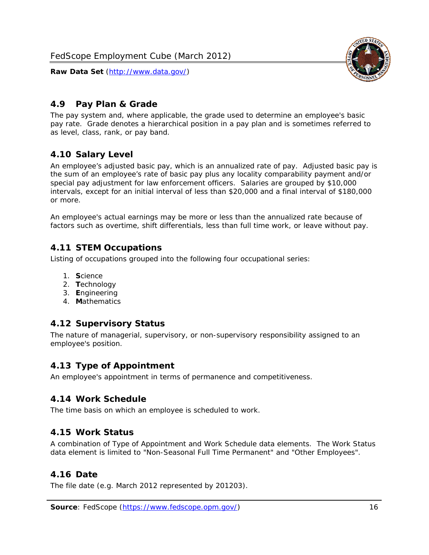

#### <span id="page-16-0"></span>*4.9 Pay Plan & Grade*

The pay system and, where applicable, the grade used to determine an employee's basic pay rate. Grade denotes a hierarchical position in a pay plan and is sometimes referred to as level, class, rank, or pay band.

## <span id="page-16-1"></span>*4.10 Salary Level*

An employee's adjusted basic pay, which is an annualized rate of pay. Adjusted basic pay is the sum of an employee's rate of basic pay plus any locality comparability payment and/or special pay adjustment for law enforcement officers. Salaries are grouped by \$10,000 intervals, except for an initial interval of less than \$20,000 and a final interval of \$180,000 or more.

An employee's actual earnings may be more or less than the annualized rate because of factors such as overtime, shift differentials, less than full time work, or leave without pay.

#### <span id="page-16-2"></span>*4.11 STEM Occupations*

Listing of occupations grouped into the following four occupational series:

- 1. **S**cience
- 2. **T**echnology
- 3. **E**ngineering
- 4. **M**athematics

#### <span id="page-16-3"></span>*4.12 Supervisory Status*

The nature of managerial, supervisory, or non-supervisory responsibility assigned to an employee's position.

#### <span id="page-16-4"></span>*4.13 Type of Appointment*

An employee's appointment in terms of permanence and competitiveness.

#### <span id="page-16-5"></span>*4.14 Work Schedule*

The time basis on which an employee is scheduled to work.

#### <span id="page-16-6"></span>*4.15 Work Status*

A combination of Type of Appointment and Work Schedule data elements. The Work Status data element is limited to "Non-Seasonal Full Time Permanent" and "Other Employees".

#### <span id="page-16-7"></span>*4.16 Date*

<span id="page-16-8"></span>The file date (e.g. March 2012 represented by 201203).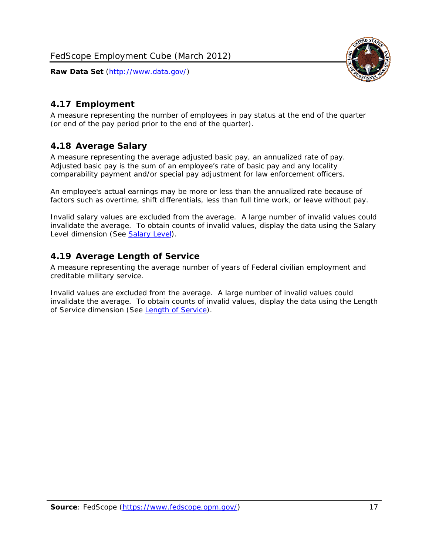

# <span id="page-17-0"></span>*4.17 Employment*

A measure representing the number of employees in pay status at the end of the quarter (or end of the pay period prior to the end of the quarter).

## <span id="page-17-1"></span>*4.18 Average Salary*

A measure representing the average adjusted basic pay, an annualized rate of pay. Adjusted basic pay is the sum of an employee's rate of basic pay and any locality comparability payment and/or special pay adjustment for law enforcement officers.

An employee's actual earnings may be more or less than the annualized rate because of factors such as overtime, shift differentials, less than full time work, or leave without pay.

Invalid salary values are excluded from the average. A large number of invalid values could invalidate the average. To obtain counts of invalid values, display the data using the Salary Level dimension (See [Salary Level\)](#page-16-1).

## <span id="page-17-2"></span>*4.19 Average Length of Service*

A measure representing the average number of years of Federal civilian employment and creditable military service.

Invalid values are excluded from the average. A large number of invalid values could invalidate the average. To obtain counts of invalid values, display the data using the Length of Service dimension (See [Length of Service](#page-15-6)).